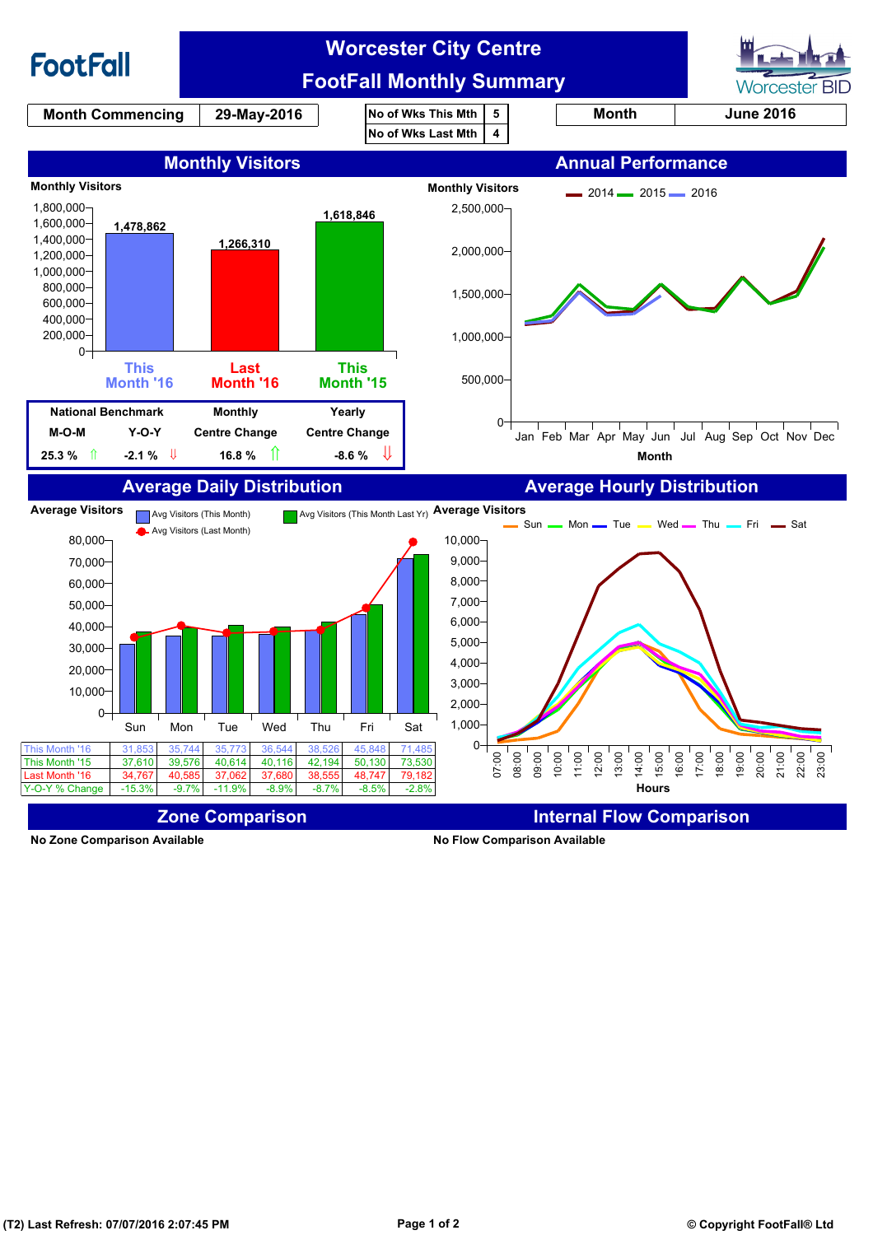

**No Zone Comparison Available No Flow Comparison Available**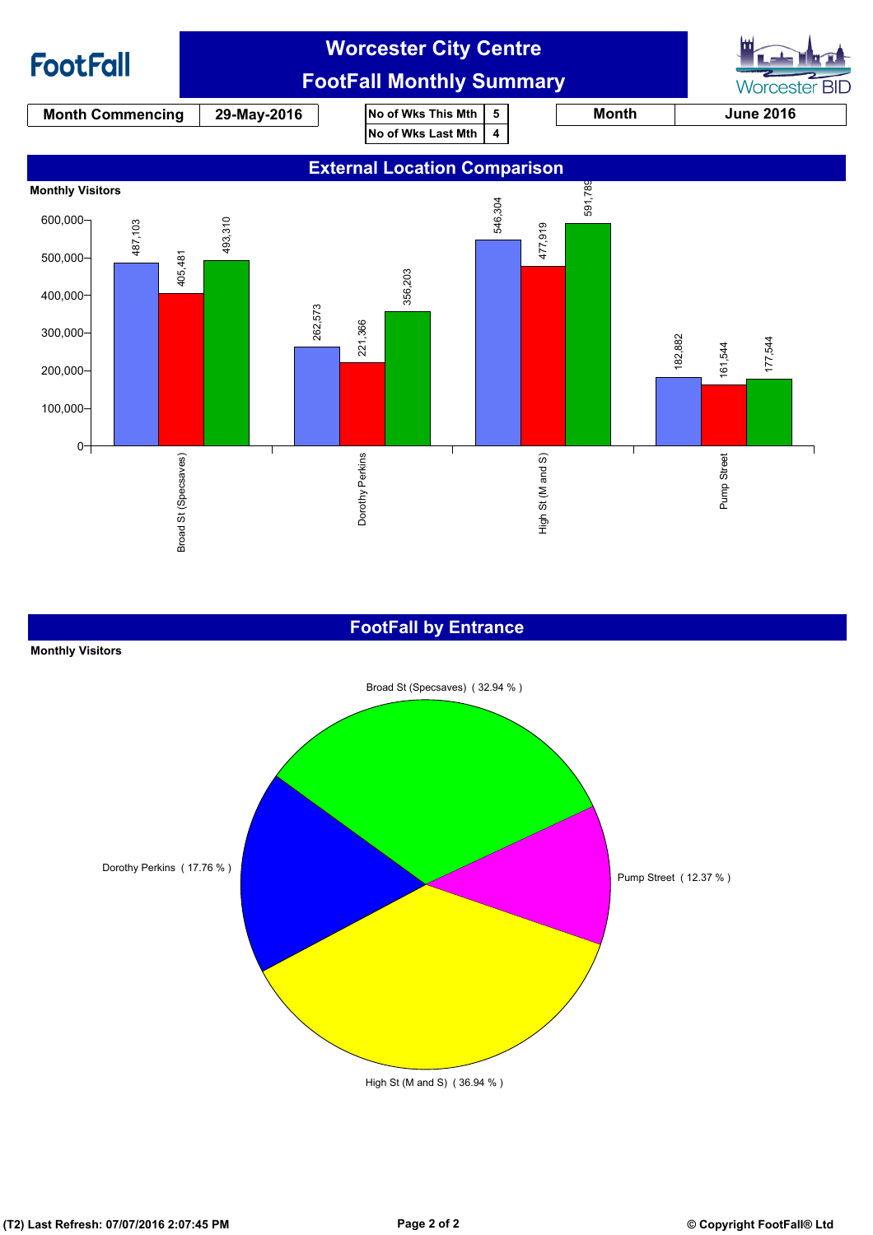

### **FootFall by Entrance**

#### **Monthly Visitors**

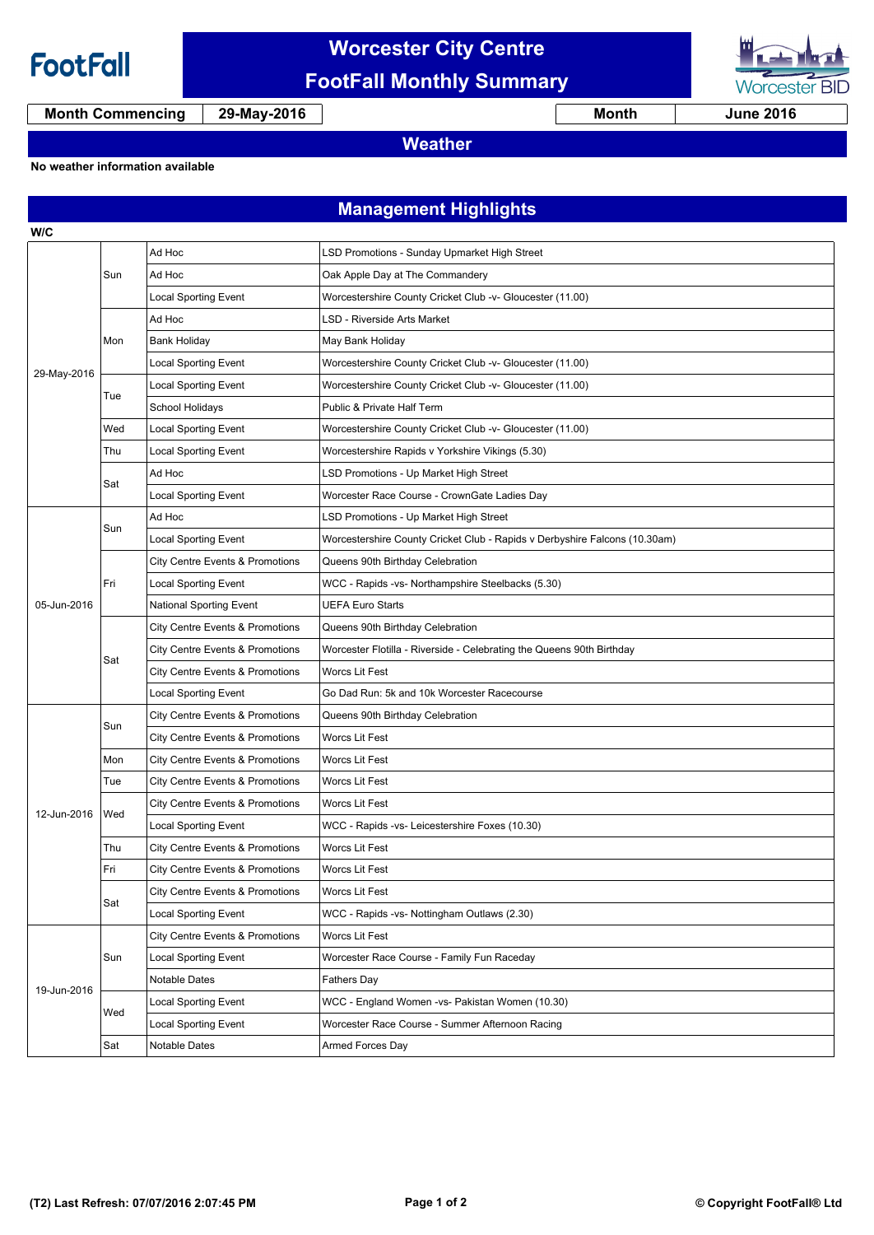

## **Worcester City Centre FootFall Monthly Summary**



**Month Commencing 29-May-2016 Month June 2016**

## **Weather**

#### **No weather information available**

**Management Highlights**

| W/C         |     |                                 |                                                                            |  |  |
|-------------|-----|---------------------------------|----------------------------------------------------------------------------|--|--|
| 29-May-2016 | Sun | Ad Hoc                          | LSD Promotions - Sunday Upmarket High Street                               |  |  |
|             |     | Ad Hoc                          | Oak Apple Day at The Commandery                                            |  |  |
|             |     | <b>Local Sporting Event</b>     | Worcestershire County Cricket Club -v- Gloucester (11.00)                  |  |  |
|             | Mon | Ad Hoc                          | <b>LSD - Riverside Arts Market</b>                                         |  |  |
|             |     | Bank Holiday                    | May Bank Holiday                                                           |  |  |
|             |     | Local Sporting Event            | Worcestershire County Cricket Club -v- Gloucester (11.00)                  |  |  |
|             | Tue | <b>Local Sporting Event</b>     | Worcestershire County Cricket Club -v- Gloucester (11.00)                  |  |  |
|             |     | School Holidays                 | Public & Private Half Term                                                 |  |  |
|             | Wed | <b>Local Sporting Event</b>     | Worcestershire County Cricket Club -v- Gloucester (11.00)                  |  |  |
|             | Thu | <b>Local Sporting Event</b>     | Worcestershire Rapids v Yorkshire Vikings (5.30)                           |  |  |
|             | Sat | Ad Hoc                          | LSD Promotions - Up Market High Street                                     |  |  |
|             |     | <b>Local Sporting Event</b>     | Worcester Race Course - CrownGate Ladies Day                               |  |  |
|             | Sun | Ad Hoc                          | LSD Promotions - Up Market High Street                                     |  |  |
|             |     | <b>Local Sporting Event</b>     | Worcestershire County Cricket Club - Rapids v Derbyshire Falcons (10.30am) |  |  |
|             | Fri | City Centre Events & Promotions | Queens 90th Birthday Celebration                                           |  |  |
|             |     | <b>Local Sporting Event</b>     | WCC - Rapids -vs- Northampshire Steelbacks (5.30)                          |  |  |
| 05-Jun-2016 |     | National Sporting Event         | <b>UEFA Euro Starts</b>                                                    |  |  |
|             | Sat | City Centre Events & Promotions | Queens 90th Birthday Celebration                                           |  |  |
|             |     | City Centre Events & Promotions | Worcester Flotilla - Riverside - Celebrating the Queens 90th Birthday      |  |  |
|             |     | City Centre Events & Promotions | <b>Worcs Lit Fest</b>                                                      |  |  |
|             |     | <b>Local Sporting Event</b>     | Go Dad Run: 5k and 10k Worcester Racecourse                                |  |  |
|             | Sun | City Centre Events & Promotions | Queens 90th Birthday Celebration                                           |  |  |
|             |     | City Centre Events & Promotions | <b>Worcs Lit Fest</b>                                                      |  |  |
|             | Mon | City Centre Events & Promotions | <b>Worcs Lit Fest</b>                                                      |  |  |
|             | Tue | City Centre Events & Promotions | Worcs Lit Fest                                                             |  |  |
| 12-Jun-2016 | Wed | City Centre Events & Promotions | Worcs Lit Fest                                                             |  |  |
|             |     | Local Sporting Event            | WCC - Rapids -vs- Leicestershire Foxes (10.30)                             |  |  |
|             | Thu | City Centre Events & Promotions | <b>Worcs Lit Fest</b>                                                      |  |  |
|             | Fri | City Centre Events & Promotions | <b>Worcs Lit Fest</b>                                                      |  |  |
|             | Sat | City Centre Events & Promotions | Worcs Lit Fest                                                             |  |  |
|             |     | Local Sporting Event            | WCC - Rapids -vs- Nottingham Outlaws (2.30)                                |  |  |
| 19-Jun-2016 | Sun | City Centre Events & Promotions | Worcs Lit Fest                                                             |  |  |
|             |     | Local Sporting Event            | Worcester Race Course - Family Fun Raceday                                 |  |  |
|             |     | Notable Dates                   | Fathers Day                                                                |  |  |
|             | Wed | Local Sporting Event            | WCC - England Women -vs- Pakistan Women (10.30)                            |  |  |
|             |     | Local Sporting Event            | Worcester Race Course - Summer Afternoon Racing                            |  |  |
|             | Sat | Notable Dates                   | Armed Forces Day                                                           |  |  |